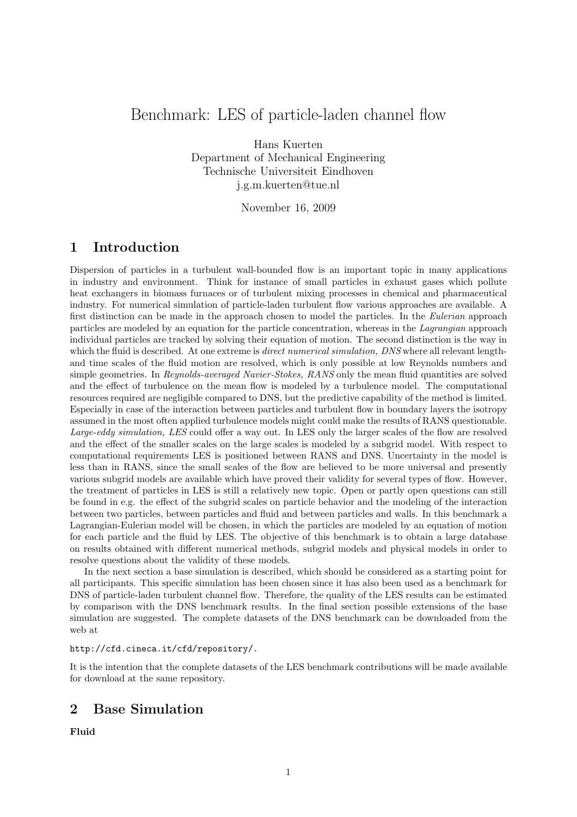# Benchmark: LES of particle-laden channel flow

Hans Kuerten Department of Mechanical Engineering Technische Universiteit Eindhoven j.g.m.kuerten@tue.nl

November 16, 2009

### 1 Introduction

Dispersion of particles in a turbulent wall-bounded flow is an important topic in many applications in industry and environment. Think for instance of small particles in exhaust gases which pollute heat exchangers in biomass furnaces or of turbulent mixing processes in chemical and pharmaceutical industry. For numerical simulation of particle-laden turbulent flow various approaches are available. A first distinction can be made in the approach chosen to model the particles. In the Eulerian approach particles are modeled by an equation for the particle concentration, whereas in the Lagrangian approach individual particles are tracked by solving their equation of motion. The second distinction is the way in which the fluid is described. At one extreme is *direct numerical simulation*, DNS where all relevant lengthand time scales of the fluid motion are resolved, which is only possible at low Reynolds numbers and simple geometries. In Reynolds-averaged Navier-Stokes, RANS only the mean fluid quantities are solved and the effect of turbulence on the mean flow is modeled by a turbulence model. The computational resources required are negligible compared to DNS, but the predictive capability of the method is limited. Especially in case of the interaction between particles and turbulent flow in boundary layers the isotropy assumed in the most often applied turbulence models might could make the results of RANS questionable. Large-eddy simulation, LES could offer a way out. In LES only the larger scales of the flow are resolved and the effect of the smaller scales on the large scales is modeled by a subgrid model. With respect to computational requirements LES is positioned between RANS and DNS. Uncertainty in the model is less than in RANS, since the small scales of the flow are believed to be more universal and presently various subgrid models are available which have proved their validity for several types of flow. However, the treatment of particles in LES is still a relatively new topic. Open or partly open questions can still be found in e.g. the effect of the subgrid scales on particle behavior and the modeling of the interaction between two particles, between particles and fluid and between particles and walls. In this benchmark a Lagrangian-Eulerian model will be chosen, in which the particles are modeled by an equation of motion for each particle and the fluid by LES. The objective of this benchmark is to obtain a large database on results obtained with different numerical methods, subgrid models and physical models in order to resolve questions about the validity of these models.

In the next section a base simulation is described, which should be considered as a starting point for all participants. This specific simulation has been chosen since it has also been used as a benchmark for DNS of particle-laden turbulent channel flow. Therefore, the quality of the LES results can be estimated by comparison with the DNS benchmark results. In the final section possible extensions of the base simulation are suggested. The complete datasets of the DNS benchmark can be downloaded from the web at

#### http://cfd.cineca.it/cfd/repository/.

It is the intention that the complete datasets of the LES benchmark contributions will be made available for download at the same repository.

## 2 Base Simulation

Fluid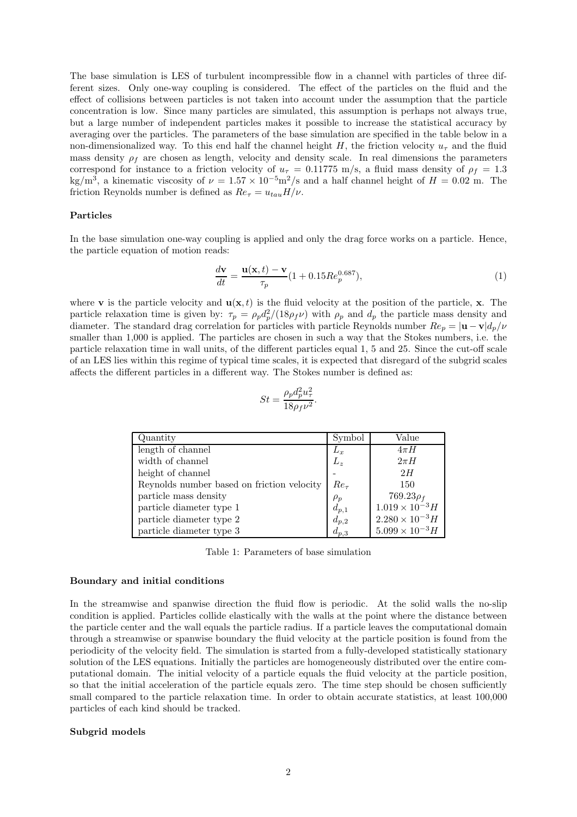The base simulation is LES of turbulent incompressible flow in a channel with particles of three different sizes. Only one-way coupling is considered. The effect of the particles on the fluid and the effect of collisions between particles is not taken into account under the assumption that the particle concentration is low. Since many particles are simulated, this assumption is perhaps not always true, but a large number of independent particles makes it possible to increase the statistical accuracy by averaging over the particles. The parameters of the base simulation are specified in the table below in a non-dimensionalized way. To this end half the channel height H, the friction velocity  $u_{\tau}$  and the fluid mass density  $\rho_f$  are chosen as length, velocity and density scale. In real dimensions the parameters correspond for instance to a friction velocity of  $u<sub>\tau</sub> = 0.11775$  m/s, a fluid mass density of  $\rho<sub>f</sub> = 1.3$ kg/m<sup>3</sup>, a kinematic viscosity of  $\nu = 1.57 \times 10^{-5}$  m<sup>2</sup>/s and a half channel height of  $H = 0.02$  m. The friction Reynolds number is defined as  $Re_\tau = u_{tau} H/\nu$ .

#### Particles

In the base simulation one-way coupling is applied and only the drag force works on a particle. Hence, the particle equation of motion reads:

$$
\frac{d\mathbf{v}}{dt} = \frac{\mathbf{u}(\mathbf{x},t) - \mathbf{v}}{\tau_p} (1 + 0.15 Re_p^{0.687}),\tag{1}
$$

where **v** is the particle velocity and  $u(x, t)$  is the fluid velocity at the position of the particle, x. The particle relaxation time is given by:  $\tau_p = \rho_p d_p^2/(18 \rho_f \nu)$  with  $\rho_p$  and  $d_p$  the particle mass density and diameter. The standard drag correlation for particles with particle Reynolds number  $Re_p = |\mathbf{u} - \mathbf{v}| d_p / \nu$ smaller than 1,000 is applied. The particles are chosen in such a way that the Stokes numbers, i.e. the particle relaxation time in wall units, of the different particles equal 1, 5 and 25. Since the cut-off scale of an LES lies within this regime of typical time scales, it is expected that disregard of the subgrid scales affects the different particles in a different way. The Stokes number is defined as:

$$
St=\frac{\rho_p d_p^2 u_\tau^2}{18\rho_f\nu^2}.
$$

| Quantity                                   | Symbol    | Value                    |
|--------------------------------------------|-----------|--------------------------|
| length of channel                          | $L_x$     | $4\pi H$                 |
| width of channel                           | $L_z$     | $2\pi H$                 |
| height of channel                          |           | 2H                       |
| Reynolds number based on friction velocity | $Re_\tau$ | 150                      |
| particle mass density                      | $\rho_p$  | $769.23\rho_f$           |
| particle diameter type 1                   | $d_{p,1}$ | $1.019 \times 10^{-3}$ H |
| particle diameter type 2                   | $d_{p,2}$ | $2.280 \times 10^{-3} H$ |
| particle diameter type 3                   | $d_{p,3}$ | $5.099 \times 10^{-3}$ H |

Table 1: Parameters of base simulation

#### Boundary and initial conditions

In the streamwise and spanwise direction the fluid flow is periodic. At the solid walls the no-slip condition is applied. Particles collide elastically with the walls at the point where the distance between the particle center and the wall equals the particle radius. If a particle leaves the computational domain through a streamwise or spanwise boundary the fluid velocity at the particle position is found from the periodicity of the velocity field. The simulation is started from a fully-developed statistically stationary solution of the LES equations. Initially the particles are homogeneously distributed over the entire computational domain. The initial velocity of a particle equals the fluid velocity at the particle position, so that the initial acceleration of the particle equals zero. The time step should be chosen sufficiently small compared to the particle relaxation time. In order to obtain accurate statistics, at least 100,000 particles of each kind should be tracked.

#### Subgrid models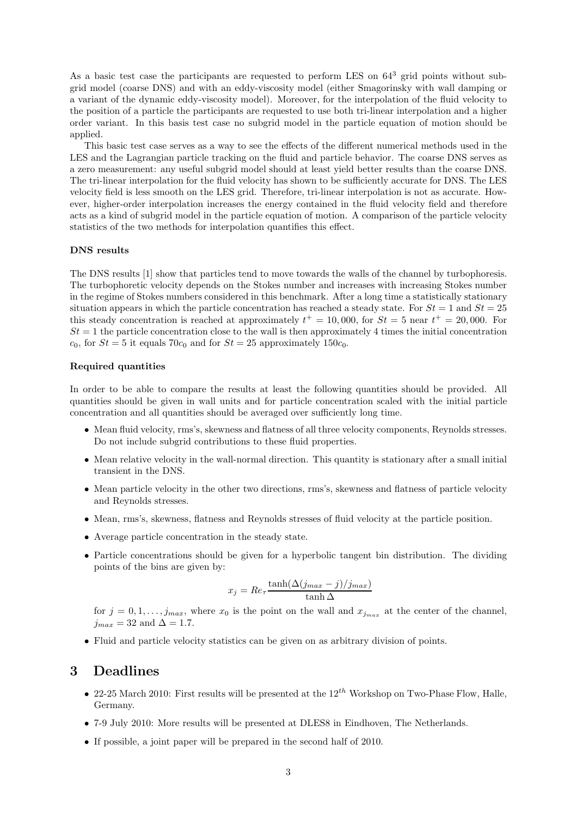As a basic test case the participants are requested to perform LES on  $64^3$  grid points without subgrid model (coarse DNS) and with an eddy-viscosity model (either Smagorinsky with wall damping or a variant of the dynamic eddy-viscosity model). Moreover, for the interpolation of the fluid velocity to the position of a particle the participants are requested to use both tri-linear interpolation and a higher order variant. In this basis test case no subgrid model in the particle equation of motion should be applied.

This basic test case serves as a way to see the effects of the different numerical methods used in the LES and the Lagrangian particle tracking on the fluid and particle behavior. The coarse DNS serves as a zero measurement: any useful subgrid model should at least yield better results than the coarse DNS. The tri-linear interpolation for the fluid velocity has shown to be sufficiently accurate for DNS. The LES velocity field is less smooth on the LES grid. Therefore, tri-linear interpolation is not as accurate. However, higher-order interpolation increases the energy contained in the fluid velocity field and therefore acts as a kind of subgrid model in the particle equation of motion. A comparison of the particle velocity statistics of the two methods for interpolation quantifies this effect.

#### DNS results

The DNS results [1] show that particles tend to move towards the walls of the channel by turbophoresis. The turbophoretic velocity depends on the Stokes number and increases with increasing Stokes number in the regime of Stokes numbers considered in this benchmark. After a long time a statistically stationary situation appears in which the particle concentration has reached a steady state. For  $St = 1$  and  $St = 25$ this steady concentration is reached at approximately  $t^+ = 10,000$ , for  $St = 5$  near  $t^+ = 20,000$ . For  $St = 1$  the particle concentration close to the wall is then approximately 4 times the initial concentration  $c_0$ , for  $St = 5$  it equals 70 $c_0$  and for  $St = 25$  approximately 150 $c_0$ .

#### Required quantities

In order to be able to compare the results at least the following quantities should be provided. All quantities should be given in wall units and for particle concentration scaled with the initial particle concentration and all quantities should be averaged over sufficiently long time.

- Mean fluid velocity, rms's, skewness and flatness of all three velocity components, Reynolds stresses. Do not include subgrid contributions to these fluid properties.
- Mean relative velocity in the wall-normal direction. This quantity is stationary after a small initial transient in the DNS.
- Mean particle velocity in the other two directions, rms's, skewness and flatness of particle velocity and Reynolds stresses.
- Mean, rms's, skewness, flatness and Reynolds stresses of fluid velocity at the particle position.
- Average particle concentration in the steady state.
- Particle concentrations should be given for a hyperbolic tangent bin distribution. The dividing points of the bins are given by:

$$
x_j = Re_{\tau} \frac{\tanh(\Delta(j_{max} - j)/j_{max})}{\tanh \Delta}
$$

for  $j = 0, 1, \ldots, j_{max}$ , where  $x_0$  is the point on the wall and  $x_{j_{max}}$  at the center of the channel,  $j_{max} = 32$  and  $\Delta = 1.7$ .

• Fluid and particle velocity statistics can be given on as arbitrary division of points.

### 3 Deadlines

- 22-25 March 2010: First results will be presented at the  $12^{th}$  Workshop on Two-Phase Flow, Halle, Germany.
- 7-9 July 2010: More results will be presented at DLES8 in Eindhoven, The Netherlands.
- If possible, a joint paper will be prepared in the second half of 2010.